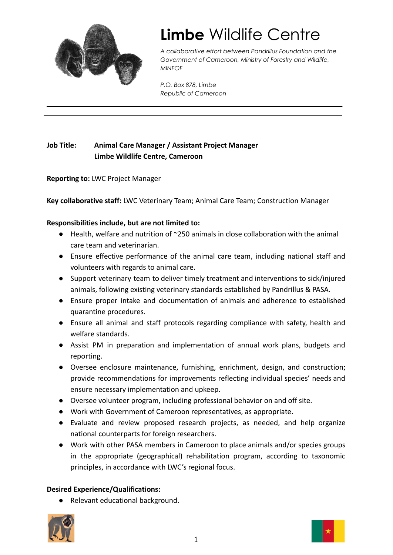

# **Limbe** Wildlife Centre

*A collaborative effort between Pandrillus Foundation and the Government of Cameroon, Ministry of Forestry and Wildlife, MINFOF*

*P.O. Box 878, Limbe Republic of Cameroon*

## **Job Title: Animal Care Manager / Assistant Project Manager Limbe Wildlife Centre, Cameroon**

**Reporting to:** LWC Project Manager

**Key collaborative staff:** LWC Veterinary Team; Animal Care Team; Construction Manager

#### **Responsibilities include, but are not limited to:**

- Health, welfare and nutrition of ~250 animals in close collaboration with the animal care team and veterinarian.
- Ensure effective performance of the animal care team, including national staff and volunteers with regards to animal care.
- Support veterinary team to deliver timely treatment and interventions to sick/injured animals, following existing veterinary standards established by Pandrillus & PASA.
- Ensure proper intake and documentation of animals and adherence to established quarantine procedures.
- Ensure all animal and staff protocols regarding compliance with safety, health and welfare standards.
- Assist PM in preparation and implementation of annual work plans, budgets and reporting.
- Oversee enclosure maintenance, furnishing, enrichment, design, and construction; provide recommendations for improvements reflecting individual species' needs and ensure necessary implementation and upkeep.
- Oversee volunteer program, including professional behavior on and off site.
- Work with Government of Cameroon representatives, as appropriate.
- Evaluate and review proposed research projects, as needed, and help organize national counterparts for foreign researchers.
- Work with other PASA members in Cameroon to place animals and/or species groups in the appropriate (geographical) rehabilitation program, according to taxonomic principles, in accordance with LWC's regional focus.

### **Desired Experience/Qualifications:**

● Relevant educational background.